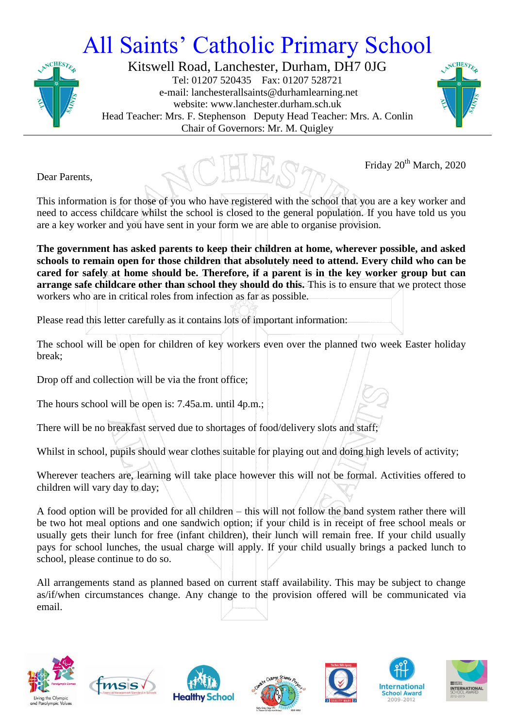## All Saints' Catholic Primary School



Kitswell Road, Lanchester, Durham, DH7 0JG Tel: 01207 520435 Fax: 01207 528721 e-mail: lanchesterallsaints@durhamlearning.net website: www.lanchester.durham.sch.uk Head Teacher: Mrs. F. Stephenson Deputy Head Teacher: Mrs. A. Conlin Chair of Governors: Mr. M. Quigley



Friday  $20<sup>th</sup>$  March, 2020

Dear Parents,

This information is for those of you who have registered with the school that you are a key worker and need to access childcare whilst the school is closed to the general population. If you have told us you are a key worker and you have sent in your form we are able to organise provision.

**The government has asked parents to keep their children at home, wherever possible, and asked schools to remain open for those children that absolutely need to attend. Every child who can be cared for safely at home should be. Therefore, if a parent is in the key worker group but can arrange safe childcare other than school they should do this.** This is to ensure that we protect those workers who are in critical roles from infection as far as possible.

Please read this letter carefully as it contains lots of important information:

The school will be open for children of key workers even over the planned two week Easter holiday break;

Drop off and collection will be via the front office;

The hours school will be open is: 7.45a.m. until 4p.m.;

There will be no breakfast served due to shortages of food/delivery slots and staff;

Whilst in school, pupils should wear clothes suitable for playing out and doing high levels of activity;

Wherever teachers are, learning will take place however this will not be formal. Activities offered to children will vary day to day;

A food option will be provided for all children – this will not follow the band system rather there will be two hot meal options and one sandwich option; if your child is in receipt of free school meals or usually gets their lunch for free (infant children), their lunch will remain free. If your child usually pays for school lunches, the usual charge will apply. If your child usually brings a packed lunch to school, please continue to do so.

All arrangements stand as planned based on current staff availability. This may be subject to change as/if/when circumstances change. Any change to the provision offered will be communicated via email.